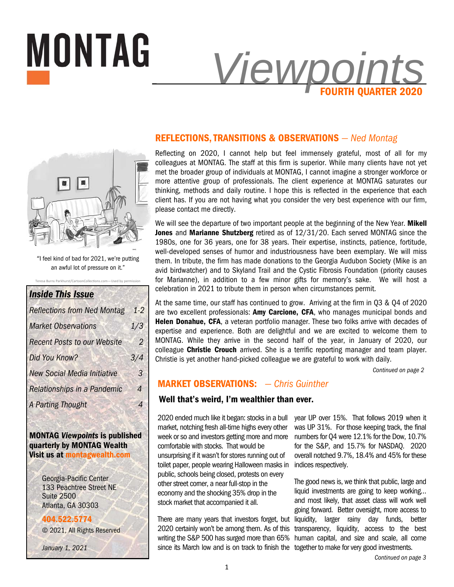

# **REFLECTIONS, TRANSITIONS & OBSERVATIONS** *— Ned Montag*

Reflecting on 2020, I cannot help but feel immensely grateful, most of all for my colleagues at MONTAG. The staff at this firm is superior. While many clients have not yet met the broader group of individuals at MONTAG, I cannot imagine a stronger workforce or more attentive group of professionals. The client experience at MONTAG saturates our thinking, methods and daily routine. I hope this is reflected in the experience that each client has. If you are not having what you consider the very best experience with our firm, please contact me directly.

We will see the departure of two important people at the beginning of the New Year. **Mikell Jones** and **Marianne Shutzberg** retired as of 12/31/20. Each served MONTAG since the 1980s, one for 36 years, one for 38 years. Their expertise, instincts, patience, fortitude, well-developed senses of humor and industriousness have been exemplary. We will miss them. In tribute, the firm has made donations to the Georgia Audubon Society (Mike is an avid birdwatcher) and to Skyland Trail and the Cystic Fibrosis Foundation (priority causes for Marianne), in addition to a few minor gifts for memory's sake. We will host a celebration in 2021 to tribute them in person when circumstances permit.

At the same time, our staff has continued to grow. Arriving at the firm in Q3 & Q4 of 2020 are two excellent professionals: **Amy Carcione, CFA**, who manages municipal bonds and Helen Donahue, CFA, a veteran portfolio manager. These two folks arrive with decades of expertise and experience. Both are delightful and we are excited to welcome them to MONTAG. While they arrive in the second half of the year, in January of 2020, our colleague **Christie Crouch** arrived. She is a terrific reporting manager and team player. Christie is yet another hand-picked colleague we are grateful to work with daily.

*Continued on page 2* 

# **MARKET OBSERVATIONS:** *— Chris Guinther*

### **Well that's weird, I'm wealthier than ever.**

2020 ended much like it began: stocks in a bull market, notching fresh all-time highs every other week or so and investors getting more and more comfortable with stocks. That would be unsurprising if it wasn't for stores running out of toilet paper, people wearing Halloween masks in public, schools being closed, protests on every other street corner, a near full-stop in the economy and the shocking 35% drop in the stock market that accompanied it all.

There are many years that investors forget, but 2020 certainly won't be among them. As of this writing the S&P 500 has surged more than 65% since its March low and is on track to finish the together to make for very good investments.

year UP over 15%. That follows 2019 when it was UP 31%. For those keeping track, the final numbers for Q4 were 12.1% for the Dow, 10.7% for the S&P, and 15.7% for NASDAQ. 2020 overall notched 9.7%, 18.4% and 45% for these indices respectively.

The good news is, we think that public, large and liquid investments are going to keep working… and most likely, that asset class will work well going forward. Better oversight, more access to liquidity, larger rainy day funds, better transparency, liquidity, access to the best human capital, and size and scale, all come



"I feel kind of bad for 2021, we're putting an awful lot of pressure on it."

Teresa Burns Parkhurst/CartoonCollections.com-Used by permission

# *Inside This Issue*

| <b>Reflections from Ned Montag</b> | $1-2$          |
|------------------------------------|----------------|
| <b>Market Observations</b>         | 1/3            |
| <b>Recent Posts to our Website</b> | 2              |
| Did You Know?                      | 3/4            |
| <b>New Social Media Initiative</b> | 3              |
| <b>Relationships in a Pandemic</b> | $\overline{A}$ |
| <b>A Parting Thought</b>           |                |

# **MONTAG** *Viewpoints* **is published quarterly by MONTAG Wealth Visit us at montagwealth.com**

Georgia-Pacific Center 133 Peachtree Street NE Suite 2500 Atlanta, GA 30303

### **404.522.5774**

© 2021, All Rights Reserved

*January 1, 2021*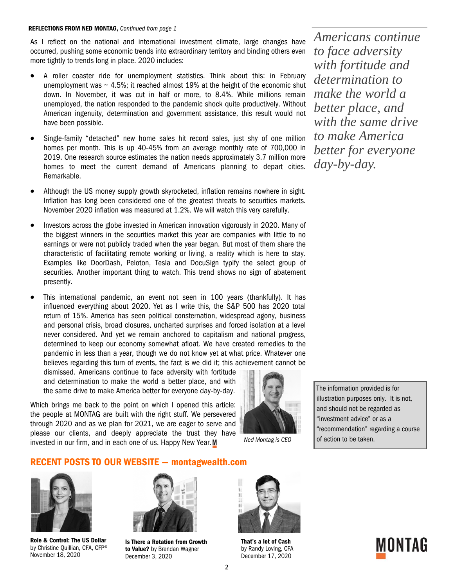#### **REFLECTIONS FROM NED MONTAG,** *Continued from page 1*

As I reflect on the national and international investment climate, large changes have occurred, pushing some economic trends into extraordinary territory and binding others even more tightly to trends long in place. 2020 includes:

- A roller coaster ride for unemployment statistics. Think about this: in February unemployment was  $\sim$  4.5%; it reached almost 19% at the height of the economic shut down. In November, it was cut in half or more, to 8.4%. While millions remain unemployed, the nation responded to the pandemic shock quite productively. Without American ingenuity, determination and government assistance, this result would not have been possible.
- Single-family "detached" new home sales hit record sales, just shy of one million homes per month. This is up 40-45% from an average monthly rate of 700,000 in 2019. One research source estimates the nation needs approximately 3.7 million more homes to meet the current demand of Americans planning to depart cities. Remarkable.
- Although the US money supply growth skyrocketed, inflation remains nowhere in sight. Inflation has long been considered one of the greatest threats to securities markets. November 2020 inflation was measured at 1.2%. We will watch this very carefully.
- Investors across the globe invested in American innovation vigorously in 2020. Many of the biggest winners in the securities market this year are companies with little to no earnings or were not publicly traded when the year began. But most of them share the characteristic of facilitating remote working or living, a reality which is here to stay. Examples like DoorDash, Peloton, Tesla and DocuSign typify the select group of securities. Another important thing to watch. This trend shows no sign of abatement presently.
- This international pandemic, an event not seen in 100 years (thankfully). It has influenced everything about 2020. Yet as I write this, the S&P 500 has 2020 total return of 15%. America has seen political consternation, widespread agony, business and personal crisis, broad closures, uncharted surprises and forced isolation at a level never considered. And yet we remain anchored to capitalism and national progress, determined to keep our economy somewhat afloat. We have created remedies to the pandemic in less than a year, though we do not know yet at what price. Whatever one believes regarding this turn of events, the fact is we did it; this achievement cannot be

dismissed. Americans continue to face adversity with fortitude and determination to make the world a better place, and with the same drive to make America better for everyone day-by-day.

Which brings me back to the point on which I opened this article: the people at MONTAG are built with the right stuff. We persevered through 2020 and as we plan for 2021, we are eager to serve and please our clients, and deeply appreciate the trust they have invested in our firm, and in each one of us. Happy New Year. M



*Ned Montag is CEO* 

*Americans continue to face adversity with fortitude and determination to make the world a better place, and with the same drive to make America better for everyone day-by-day.* 

The information provided is for illustration purposes only. It is not, and should not be regarded as "investment advice" or as a "recommendation" regarding a course of action to be taken.

## **RECENT POSTS TO OUR WEBSITE — montagwealth.com**



**Role & Control: The US Dollar**  by Christine Quillian, CFA, CFP® November 18, 2020



**Is There a Rotation from Growth to Value?** by Brendan Wagner December 3, 2020



**That's a lot of Cash**  by Randy Loving, CFA December 17, 2020

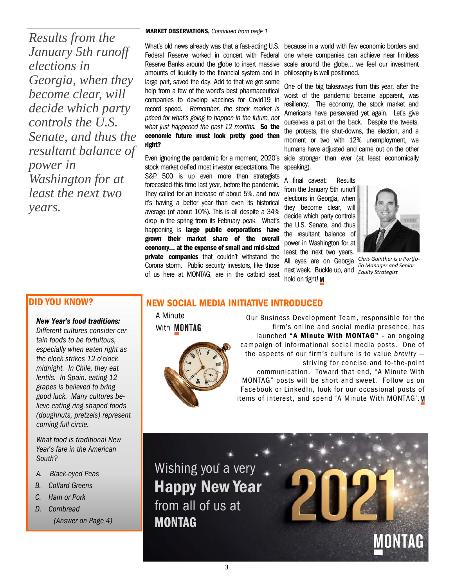*Results from the January 5th runoff elections in Georgia, when they become clear, will decide which party controls the U.S. Senate, and thus the resultant balance of power in Washington for at least the next two years.* 

#### **MARKET OBSERVATIONS,** *Continued from page 1*

What's old news already was that a fast-acting U.S. Federal Reserve worked in concert with Federal Reserve Banks around the globe to insert massive amounts of liquidity to the financial system and in large part, saved the day. Add to that we got some help from a few of the world's best pharmaceutical companies to develop vaccines for Covid19 in record speed. *Remember, the stock market is priced for what's going to happen in the future, not what just happened the past 12 months.* **So the economic future must look pretty good then right?** 

Even ignoring the pandemic for a moment, 2020's stock market defied most investor expectations. The S&P 500 is up even more than strategists forecasted this time last year, before the pandemic. They called for an increase of about 5%, and now it's having a better year than even its historical average (of about 10%). This is all despite a 34% drop in the spring from its February peak. What's happening is **large public corporations have grown their market share of the overall economy… at the expense of small and mid-sized private companies** that couldn't withstand the Corona storm. Public security investors, like those of us here at MONTAG, are in the catbird seat

because in a world with few economic borders and one where companies can achieve near limitless scale around the globe… we feel our investment philosophy is well positioned.

One of the big takeaways from this year, after the worst of the pandemic became apparent, was resiliency. The economy, the stock market and Americans have persevered yet again. Let's give ourselves a pat on the back. Despite the tweets, the protests, the shut-downs, the election, and a moment or two with 12% unemployment, we humans have adjusted and came out on the other side stronger than ever (at least economically speaking).

A final caveat: Results from the January 5th runoff elections in Georgia, when they become clear, will decide which party controls the U.S. Senate, and thus the resultant balance of power in Washington for at least the next two years. All eyes are on Georgia *Chris Guinther is a Portfo*next week. Buckle up, and hold on tight! M



# *lio Manager and Senior Equity Strategist*

# **DID YOU KNOW?**

#### *New Year's food traditions:*

*Different cultures consider certain foods to be fortuitous, especially when eaten right as the clock strikes 12 o'clock midnight. In Chile, they eat lentils. In Spain, eating 12 grapes is believed to bring good luck. Many cultures believe eating ring-shaped foods (doughnuts, pretzels) represent coming full circle.* 

*What food is traditional New Year's fare in the American South?* 

- *A. Black-eyed Peas*
- *B. Collard Greens*
- *C. Ham or Pork*
- *D. Cornbread*

*(Answer on Page 4)* 

# **NEW SOCIAL MEDIA INITIATIVE INTRODUCED**

A Minute With **MONTAG** 



Our Business Development Team, responsible for the firm's online and social media presence, has launched **"A Minute With MONTAG"** – an ongoing campaign of informational social media posts. One of the aspects of our firm's culture is to value *brevity*  striving for concise and to-the-point communication. Toward that end, "A Minute With MONTAG" posts will be short and sweet. Follow us on Facebook or LinkedIn, look for our occasional posts of items of interest, and spend 'A Minute With MONTAG'.M

Wishing you a very **Happy New Year**  from all of us at **MONTAG**